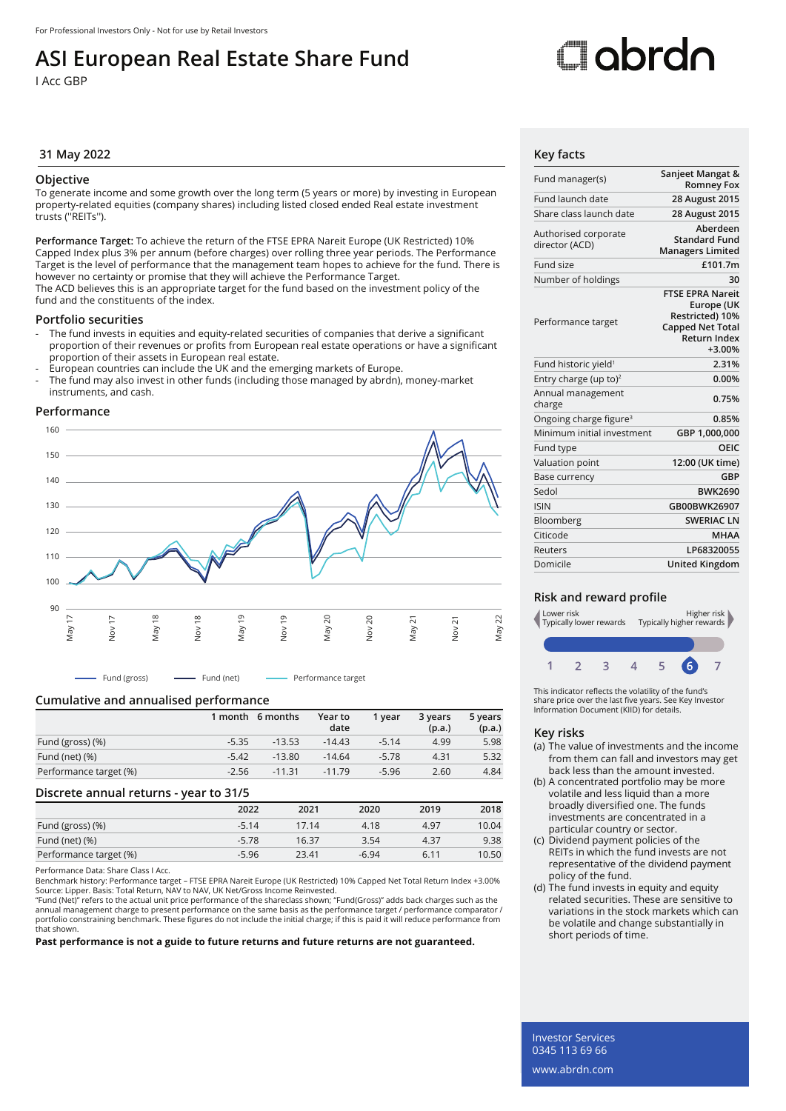## **ASI European Real Estate Share Fund**

I Acc GBP

# Oobrdo

### **31 May 2022 Key facts**

### **Objective**

To generate income and some growth over the long term (5 years or more) by investing in European property-related equities (company shares) including listed closed ended Real estate investment trusts (''REITs'').

**Performance Target:** To achieve the return of the FTSE EPRA Nareit Europe (UK Restricted) 10% Capped Index plus 3% per annum (before charges) over rolling three year periods. The Performance Target is the level of performance that the management team hopes to achieve for the fund. There is however no certainty or promise that they will achieve the Performance Target. The ACD believes this is an appropriate target for the fund based on the investment policy of the

fund and the constituents of the index.

### **Portfolio securities**

- The fund invests in equities and equity-related securities of companies that derive a significant proportion of their revenues or profits from European real estate operations or have a significant proportion of their assets in European real estate.
- European countries can include the UK and the emerging markets of Europe.
- The fund may also invest in other funds (including those managed by abrdn), money-market instruments, and cash.

### **Performance**



- Fund (gross) ---- Fund (net) --- Performance target

### **Cumulative and annualised performance**

|                        | 1 month | 6 months | Year to<br>date | 1 vear  | 3 years<br>(p.a.) | 5 years<br>(p.a.) |
|------------------------|---------|----------|-----------------|---------|-------------------|-------------------|
| Fund (gross) (%)       | $-5.35$ | $-13.53$ | $-14.43$        | $-5.14$ | 4.99              | 5.98              |
| Fund (net) $(\%)$      | $-5.42$ | $-13.80$ | $-14.64$        | $-5.78$ | 4.31              | 5.32              |
| Performance target (%) | $-2.56$ | $-11.31$ | $-11.79$        | $-5.96$ | 2.60              | 4.84              |

### **Discrete annual returns - year to 31/5**

|                        | 2022    | 2021  | 2020    | 2019 | 2018  |
|------------------------|---------|-------|---------|------|-------|
| Fund (gross) (%)       | $-5.14$ | 17.14 | 4.18    | 4.97 | 10.04 |
| Fund (net) $(\%)$      | $-5.78$ | 16.37 | 3.54    | 4.37 | 9.38  |
| Performance target (%) | $-5.96$ | 23.41 | $-6.94$ | 6.11 | 10.50 |

Performance Data: Share Class I Acc.

Benchmark history: Performance target – FTSE EPRA Nareit Europe (UK Restricted) 10% Capped Net Total Return Index +3.00% Source: Lipper. Basis: Total Return, NAV to NAV, UK Net/Gross Income Reinvested.

"Fund (Net)" refers to the actual unit price performance of the shareclass shown; "Fund(Gross)" adds back charges such as the annual management charge to present performance on the same basis as the performance target / performance comparator /<br>portfolio constraining benchmark. These figures do not include the initial charge; if this is paid it w that shown.

**Past performance is not a guide to future returns and future returns are not guaranteed.**

| Fund manager(s)                        | Sanjeet Mangat &<br><b>Romney Fox</b>                                                                                  |
|----------------------------------------|------------------------------------------------------------------------------------------------------------------------|
| Fund launch date                       | 28 August 2015                                                                                                         |
| Share class launch date                | 28 August 2015                                                                                                         |
| Authorised corporate<br>director (ACD) | Aberdeen<br><b>Standard Fund</b><br><b>Managers Limited</b>                                                            |
| Fund size                              | £101.7m                                                                                                                |
| Number of holdings                     | 30                                                                                                                     |
| Performance target                     | <b>FTSE EPRA Nareit</b><br>Europe (UK<br>Restricted) 10%<br><b>Capped Net Total</b><br><b>Return Index</b><br>$+3.00%$ |
| Fund historic yield <sup>1</sup>       | 2.31%                                                                                                                  |
| Entry charge (up to) <sup>2</sup>      | 0.00%                                                                                                                  |
| Annual management<br>charge            | 0.75%                                                                                                                  |
| Ongoing charge figure <sup>3</sup>     | 0.85%                                                                                                                  |
| Minimum initial investment             | GBP 1,000,000                                                                                                          |
| Fund type                              | OEIC                                                                                                                   |
| Valuation point                        | 12:00 (UK time)                                                                                                        |
| Base currency                          | GBP                                                                                                                    |
| Sedol                                  | <b>BWK2690</b>                                                                                                         |
| <b>ISIN</b>                            | GB00BWK26907                                                                                                           |
| Bloomberg                              | <b>SWERIAC LN</b>                                                                                                      |
| Citicode                               | <b>MHAA</b>                                                                                                            |
| Reuters                                | LP68320055                                                                                                             |
| Domicile                               | United Kingdom                                                                                                         |

### **Risk and reward profile**



This indicator reflects the volatility of the fund's share price over the last five years. See Key Investor Information Document (KIID) for details.

### **Key risks**

- (a) The value of investments and the income from them can fall and investors may get back less than the amount invested.
- (b) A concentrated portfolio may be more volatile and less liquid than a more broadly diversified one. The funds investments are concentrated in a particular country or sector.
- (c) Dividend payment policies of the REITs in which the fund invests are not representative of the dividend payment policy of the fund.
- (d) The fund invests in equity and equity related securities. These are sensitive to variations in the stock markets which can be volatile and change substantially in short periods of time.

Investor Services 0345 113 69 66 www.abrdn.com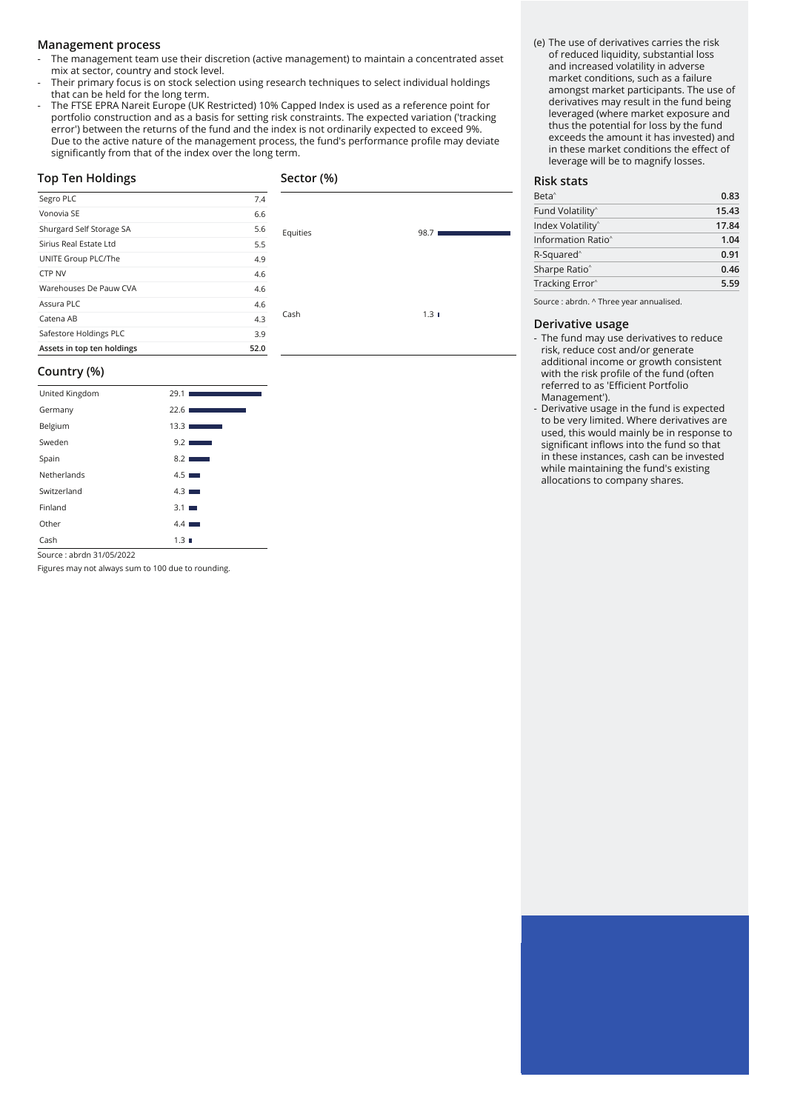### **Management process**

- The management team use their discretion (active management) to maintain a concentrated asset mix at sector, country and stock level.
- Their primary focus is on stock selection using research techniques to select individual holdings that can be held for the long term.
- The FTSE EPRA Nareit Europe (UK Restricted) 10% Capped Index is used as a reference point for portfolio construction and as a basis for setting risk constraints. The expected variation ('tracking error') between the returns of the fund and the index is not ordinarily expected to exceed 9%. Due to the active nature of the management process, the fund's performance profile may deviate significantly from that of the index over the long term.

| <b>Top Ten Holdings</b>    |      | Sector (%) |      |  |
|----------------------------|------|------------|------|--|
| Segro PLC                  | 7.4  |            |      |  |
| Vonovia SE                 | 6.6  |            |      |  |
| Shurgard Self Storage SA   | 5.6  | Equities   | 98.7 |  |
| Sirius Real Estate Ltd     | 5.5  |            |      |  |
| UNITE Group PLC/The        | 4.9  |            |      |  |
| CTP NV                     | 4.6  |            |      |  |
| Warehouses De Pauw CVA     | 4.6  |            |      |  |
| Assura PLC                 | 4.6  |            |      |  |
| Catena AB                  | 4.3  | Cash       | 1.31 |  |
| Safestore Holdings PLC     | 3.9  |            |      |  |
| Assets in top ten holdings | 52.0 |            |      |  |

### **Country (%)**

| United Kingdom | 29.1                              |
|----------------|-----------------------------------|
| Germany        | 22.61<br><b>Contract Contract</b> |
| Belgium        | 13.3                              |
| Sweden         | 9.2                               |
| Spain          | 8.2                               |
| Netherlands    | $4.5$ $\blacksquare$              |
| Switzerland    | $4.3$ $\blacksquare$              |
| Finland        | 3.1                               |
| Other          | $4.4$ $\blacksquare$              |
| Cash           | $1.3 \blacksquare$                |

Source : abrdn 31/05/2022

Figures may not always sum to 100 due to rounding.

(e) The use of derivatives carries the risk of reduced liquidity, substantial loss and increased volatility in adverse market conditions, such as a failure amongst market participants. The use of derivatives may result in the fund being leveraged (where market exposure and thus the potential for loss by the fund exceeds the amount it has invested) and in these market conditions the effect of leverage will be to magnify losses.

### **Risk stats**

| 0.83  |  |
|-------|--|
| 15.43 |  |
| 17.84 |  |
| 1.04  |  |
| 0.91  |  |
| 0.46  |  |
| 5.59  |  |
|       |  |

Source : abrdn. ^ Three year annualised.

### **Derivative usage**

- The fund may use derivatives to reduce risk, reduce cost and/or generate additional income or growth consistent with the risk profile of the fund (often referred to as 'Efficient Portfolio Management').
- Derivative usage in the fund is expected to be very limited. Where derivatives are used, this would mainly be in response to significant inflows into the fund so that in these instances, cash can be invested while maintaining the fund's existing allocations to company shares.